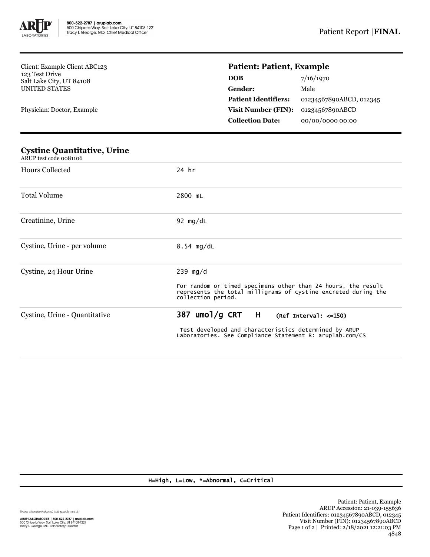

Client: Example Client ABC123 123 Test Drive Salt Lake City, UT 84108 UNITED STATES

Physician: Doctor, Example

## **Patient: Patient, Example**

| 7/16/1970               |
|-------------------------|
| Male                    |
| 01234567890ABCD, 012345 |
| 01234567890ABCD         |
| 00/00/0000 00:00        |
|                         |

| <b>Cystine Quantitative, Urine</b><br>ARUP test code 0081106 |                                                                                                                                                                                |  |  |  |
|--------------------------------------------------------------|--------------------------------------------------------------------------------------------------------------------------------------------------------------------------------|--|--|--|
| Hours Collected                                              | 24 hr                                                                                                                                                                          |  |  |  |
| <b>Total Volume</b>                                          | 2800 mL                                                                                                                                                                        |  |  |  |
| Creatinine, Urine                                            | 92 $mg/dL$                                                                                                                                                                     |  |  |  |
| Cystine, Urine - per volume                                  | $8.54$ mg/dL                                                                                                                                                                   |  |  |  |
| Cystine, 24 Hour Urine                                       | $239$ mg/d<br>For random or timed specimens other than 24 hours, the result<br>represents the total milligrams of cystine excreted during the<br>collection period.            |  |  |  |
| Cystine, Urine - Quantitative                                | 387 umol/g CRT<br>$\mathsf{H}$<br>$(Ref Interval: <=150)$<br>Test developed and characteristics determined by ARUP<br>Laboratories. See Compliance Statement B: aruplab.com/CS |  |  |  |

## H=High, L=Low, \*=Abnormal, C=Critical

Unless otherwise indicated, testing performed at:

**ARUP LABORATORIES | 800-522-2787 | aruplab.com**<br>500 Chipeta Way, Salt Lake City, UT 84108-1221<br>Tracy I. George, MD, Laboratory Director